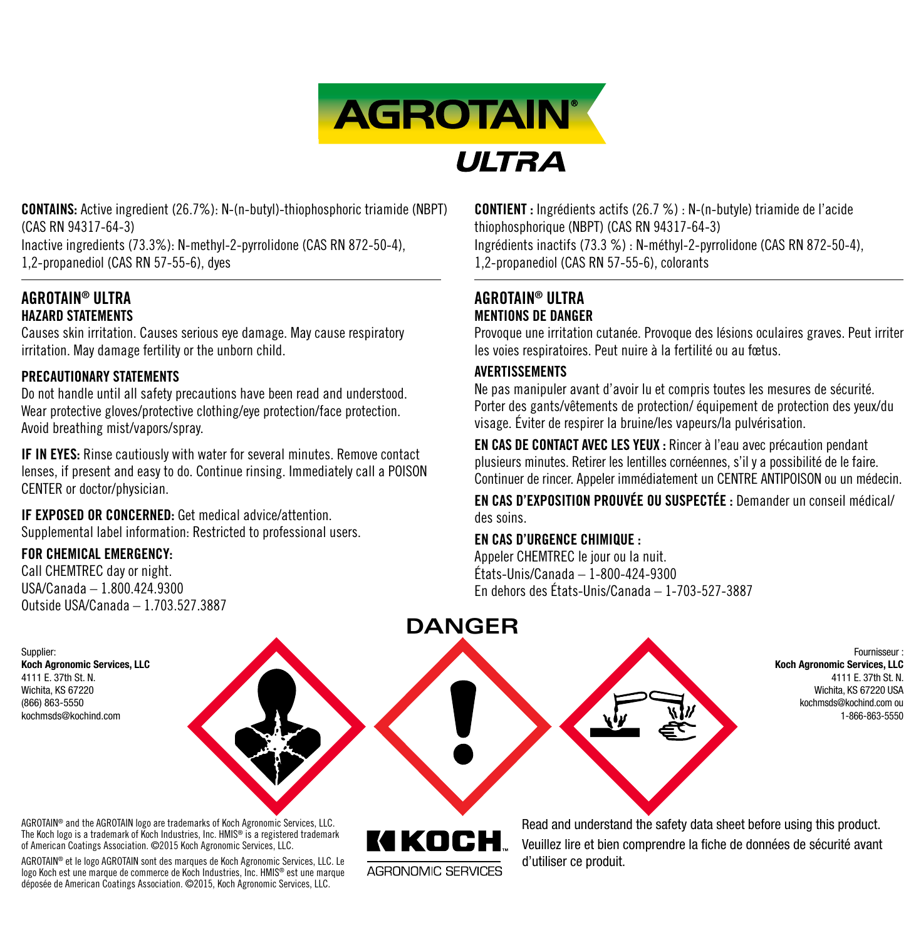

CONTAINS: Active ingredient (26.7%): N-(n-butyl)-thiophosphoric triamide (NBPT) (CAS RN 94317-64-3)

Inactive ingredients (73.3%): N-methyl-2-pyrrolidone (CAS RN 872-50-4), 1,2-propanediol (CAS RN 57-55-6), dyes

# AGROTAIN® ULTRA HAZARD STATEMENTS

Causes skin irritation. Causes serious eye damage. May cause respiratory irritation. May damage fertility or the unborn child.

# PRECAUTIONARY STATEMENTS

Do not handle until all safety precautions have been read and understood. Wear protective gloves/protective clothing/eye protection/face protection. Avoid breathing mist/vapors/spray.

IF IN EYES: Rinse cautiously with water for several minutes. Remove contact lenses, if present and easy to do. Continue rinsing. Immediately call a POISON CENTER or doctor/physician.

IF EXPOSED OR CONCERNED: Get medical advice/attention. Supplemental label information: Restricted to professional users.

# FOR CHEMICAL EMERGENCY:

Koch Agronomic Services, LLC 4111 E. 37th St. N. Wichita, KS 67220 (866) 863-5550 kochmsds@kochind.com

Supplier:

Call CHEMTREC day or night. USA/Canada – 1.800.424.9300 Outside USA/Canada – 1.703.527.3887 CONTIENT : Ingrédients actifs (26.7 %) : N-(n-butyle) triamide de l'acide thiophosphorique (NBPT) (CAS RN 94317-64-3) Ingrédients inactifs (73.3 %) : N-méthyl-2-pyrrolidone (CAS RN 872-50-4), 1,2-propanediol (CAS RN 57-55-6), colorants

# AGROTAIN® ULTRA MENTIONS DE DANGER

Provoque une irritation cutanée. Provoque des lésions oculaires graves. Peut irriter les voies respiratoires. Peut nuire à la fertilité ou au fœtus.

# AVERTISSEMENTS

Ne pas manipuler avant d'avoir lu et compris toutes les mesures de sécurité. Porter des gants/vêtements de protection/ équipement de protection des yeux/du visage. Éviter de respirer la bruine/les vapeurs/la pulvérisation.

EN CAS DE CONTACT AVEC LES YEUX : Rincer à l'eau avec précaution pendant plusieurs minutes. Retirer les lentilles cornéennes, s'il y a possibilité de le faire. Continuer de rincer. Appeler immédiatement un CENTRE ANTIPOISON ou un médecin.

EN CAS D'EXPOSITION PROUVÉE OU SUSPECTÉE : Demander un conseil médical/ des soins.

# EN CAS D'URGENCE CHIMIQUE :

Appeler CHEMTREC le jour ou la nuit. États-Unis/Canada – 1-800-424-9300 En dehors des États-Unis/Canada – 1-703-527-3887



Fournisseur : Koch Agronomic Services, LLC 4111 E. 37th St. N. Wichita, KS 67220 USA kochmsds@kochind.com ou 1-866-863-5550

AGROTAIN® and the AGROTAIN logo are trademarks of Koch Agronomic Services, LLC. The Koch logo is a trademark of Koch Industries, Inc. HMIS® is a registered trademark of American Coatings Association. ©2015 Koch Agronomic Services, LLC.

AGROTAIN® et le logo AGROTAIN sont des marques de Koch Agronomic Services, LLC. Le logo Koch est une marque de commerce de Koch Industries, Inc. HMIS® est une marque déposée de American Coatings Association. ©2015, Koch Agronomic Services, LLC.

AGRONOMIC SERVICES

Read and understand the safety data sheet before using this product. Veuillez lire et bien comprendre la fiche de données de sécurité avant d'utiliser ce produit.

# **DANGER**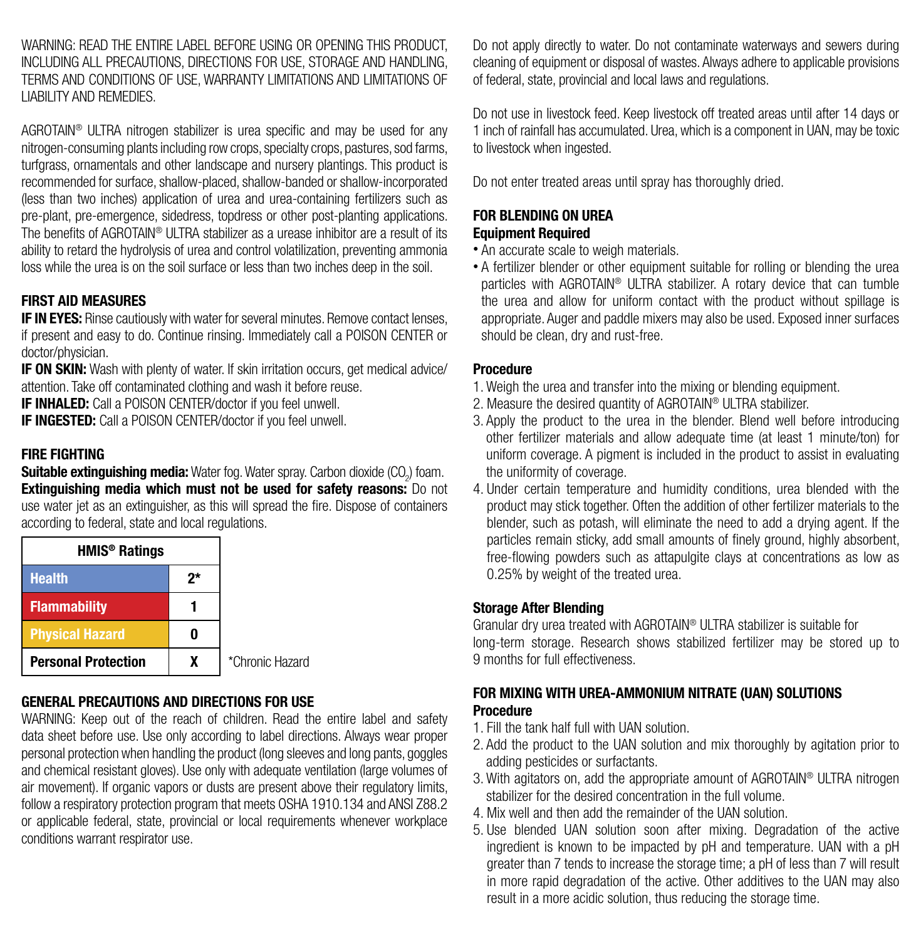WARNING: READ THE ENTIRE LABEL BEFORE USING OR OPENING THIS PRODUCT. INCLUDING ALL PRECAUTIONS, DIRECTIONS FOR USE, STORAGE AND HANDLING, TERMS AND CONDITIONS OF USE, WARRANTY LIMITATIONS AND LIMITATIONS OF LIABILITY AND REMEDIES.

AGROTAIN® ULTRA nitrogen stabilizer is urea specific and may be used for any nitrogen-consuming plants including row crops, specialty crops, pastures, sod farms, turforass, ornamentals and other landscape and nursery plantings. This product is recommended for surface, shallow-placed, shallow-banded or shallow-incorporated (less than two inches) application of urea and urea-containing fertilizers such as pre-plant, pre-emergence, sidedress, topdress or other post-planting applications. The benefits of AGROTAIN® ULTRA stabilizer as a urease inhibitor are a result of its ability to retard the hydrolysis of urea and control volatilization, preventing ammonia loss while the urea is on the soil surface or less than two inches deep in the soil.

#### FIRST AID MEASURES

**IF IN EYES:** Rinse cautiously with water for several minutes. Remove contact lenses, if present and easy to do. Continue rinsing. Immediately call a POISON CENTER or doctor/physician.

IF ON SKIN: Wash with plenty of water. If skin irritation occurs, get medical advice/ attention. Take off contaminated clothing and wash it before reuse.

IF INHALED: Call a POISON CENTER/doctor if you feel unwell.

IF INGESTED: Call a POISON CENTER/doctor if you feel unwell.

# FIRE FIGHTING

Suitable extinguishing media: Water fog. Water spray. Carbon dioxide (CO<sub>2</sub>) foam. **Extinguishing media which must not be used for safety reasons:** Do not use water jet as an extinguisher, as this will spread the fire. Dispose of containers according to federal, state and local regulations.

| HMIS <sup>®</sup> Ratings  |    |                 |
|----------------------------|----|-----------------|
| <b>Health</b>              | 2* |                 |
| <b>Flammability</b>        |    |                 |
| <b>Physical Hazard</b>     |    |                 |
| <b>Personal Protection</b> |    | *Chronic Hazard |

# GENERAL PRECAUTIONS AND DIRECTIONS FOR USE

WARNING: Keep out of the reach of children. Read the entire label and safety data sheet before use. Use only according to label directions. Always wear proper personal protection when handling the product (long sleeves and long pants, goggles and chemical resistant gloves). Use only with adequate ventilation (large volumes of air movement). If organic vapors or dusts are present above their regulatory limits, follow a respiratory protection program that meets OSHA 1910.134 and ANSI Z88.2 or applicable federal, state, provincial or local requirements whenever workplace conditions warrant respirator use.

Do not apply directly to water. Do not contaminate waterways and sewers during cleaning of equipment or disposal of wastes. Always adhere to applicable provisions of federal, state, provincial and local laws and regulations.

Do not use in livestock feed. Keep livestock off treated areas until after 14 days or 1 inch of rainfall has accumulated. Urea, which is a component in UAN, may be toxic to livestock when ingested.

Do not enter treated areas until spray has thoroughly dried.

# FOR BLENDING ON UREA

#### Equipment Required

- An accurate scale to weigh materials.
- A fertilizer blender or other equipment suitable for rolling or blending the urea particles with AGROTAIN® ULTRA stabilizer. A rotary device that can tumble the urea and allow for uniform contact with the product without spillage is appropriate. Auger and paddle mixers may also be used. Exposed inner surfaces should be clean, dry and rust-free.

#### Procedure

- 1. Weigh the urea and transfer into the mixing or blending equipment.
- 2. Measure the desired quantity of AGROTAIN® ULTRA stabilizer.
- 3. Apply the product to the urea in the blender. Blend well before introducing other fertilizer materials and allow adequate time (at least 1 minute/ton) for uniform coverage. A pigment is included in the product to assist in evaluating the uniformity of coverage.
- 4. Under certain temperature and humidity conditions, urea blended with the product may stick together. Often the addition of other fertilizer materials to the blender, such as potash, will eliminate the need to add a drying agent. If the particles remain sticky, add small amounts of finely ground, highly absorbent, free-flowing powders such as attapulgite clays at concentrations as low as 0.25% by weight of the treated urea.

#### Storage After Blending

Granular dry urea treated with AGROTAIN® ULTRA stabilizer is suitable for long-term storage. Research shows stabilized fertilizer may be stored up to 9 months for full effectiveness.

# FOR MIXING WITH UREA-AMMONIUM NITRATE (UAN) SOLUTIONS Procedure

- 1. Fill the tank half full with UAN solution.
- 2. Add the product to the UAN solution and mix thoroughly by agitation prior to adding pesticides or surfactants.
- 3. With agitators on, add the appropriate amount of AGROTAIN<sup>®</sup> ULTRA nitrogen stabilizer for the desired concentration in the full volume.
- 4. Mix well and then add the remainder of the UAN solution.
- 5. Use blended UAN solution soon after mixing. Degradation of the active ingredient is known to be impacted by pH and temperature. UAN with a pH greater than 7 tends to increase the storage time; a pH of less than 7 will result in more rapid degradation of the active. Other additives to the UAN may also result in a more acidic solution, thus reducing the storage time.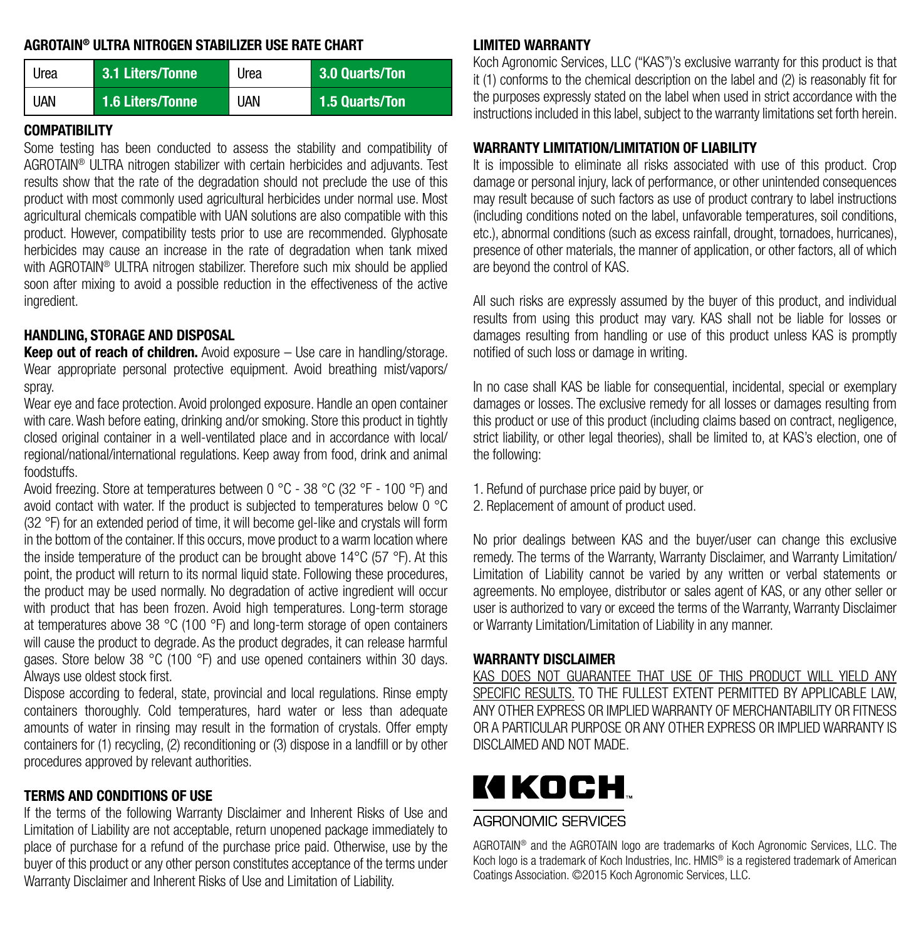#### AGROTAIN® ULTRA NITROGEN STABILIZER USE RATE CHART

| Urea | 3.1 Liters/Tonne | Urea | 3.0 Quarts/Ton |
|------|------------------|------|----------------|
| UAN  | 1.6 Liters/Tonne | UAN  | 1.5 Quarts/Ton |

#### COMPATIBILITY

Some testing has been conducted to assess the stability and compatibility of AGROTAIN® ULTRA nitrogen stabilizer with certain herbicides and adjuvants. Test results show that the rate of the degradation should not preclude the use of this product with most commonly used agricultural herbicides under normal use. Most agricultural chemicals compatible with UAN solutions are also compatible with this product. However, compatibility tests prior to use are recommended. Glyphosate herbicides may cause an increase in the rate of degradation when tank mixed with AGROTAIN® ULTRA nitrogen stabilizer. Therefore such mix should be applied soon after mixing to avoid a possible reduction in the effectiveness of the active ingredient.

#### HANDLING, STORAGE AND DISPOSAL

**Keep out of reach of children.** Avoid exposure  $-$  Use care in handling/storage. Wear appropriate personal protective equipment. Avoid breathing mist/vapors/ spray.

Wear eye and face protection. Avoid prolonged exposure. Handle an open container with care. Wash before eating, drinking and/or smoking. Store this product in tightly closed original container in a well-ventilated place and in accordance with local/ regional/national/international regulations. Keep away from food, drink and animal foodstuffs.

Avoid freezing. Store at temperatures between 0 °C - 38 °C (32 °F - 100 °F) and avoid contact with water. If the product is subjected to temperatures below 0 °C (32 °F) for an extended period of time, it will become gel-like and crystals will form in the bottom of the container. If this occurs, move product to a warm location where the inside temperature of the product can be brought above 14°C (57 °F). At this point, the product will return to its normal liquid state. Following these procedures, the product may be used normally. No degradation of active ingredient will occur with product that has been frozen. Avoid high temperatures. Long-term storage at temperatures above 38 °C (100 °F) and long-term storage of open containers will cause the product to degrade. As the product degrades, it can release harmful gases. Store below 38 °C (100 °F) and use opened containers within 30 days. Always use oldest stock first.

Dispose according to federal, state, provincial and local regulations. Rinse empty containers thoroughly. Cold temperatures, hard water or less than adequate amounts of water in rinsing may result in the formation of crystals. Offer empty containers for (1) recycling, (2) reconditioning or (3) dispose in a landfill or by other procedures approved by relevant authorities.

#### TERMS AND CONDITIONS OF USE

If the terms of the following Warranty Disclaimer and Inherent Risks of Use and Limitation of Liability are not acceptable, return unopened package immediately to place of purchase for a refund of the purchase price paid. Otherwise, use by the buyer of this product or any other person constitutes acceptance of the terms under Warranty Disclaimer and Inherent Risks of Use and Limitation of Liability.

#### LIMITED WARRANTY

Koch Agronomic Services, LLC ("KAS")'s exclusive warranty for this product is that it (1) conforms to the chemical description on the label and (2) is reasonably fit for the purposes expressly stated on the label when used in strict accordance with the instructions included in this label, subject to the warranty limitations set forth herein.

#### WARRANTY LIMITATION/LIMITATION OF LIABILITY

It is impossible to eliminate all risks associated with use of this product. Crop damage or personal injury, lack of performance, or other unintended consequences may result because of such factors as use of product contrary to label instructions (including conditions noted on the label, unfavorable temperatures, soil conditions, etc.), abnormal conditions (such as excess rainfall, drought, tornadoes, hurricanes), presence of other materials, the manner of application, or other factors, all of which are beyond the control of KAS.

All such risks are expressly assumed by the buyer of this product, and individual results from using this product may vary. KAS shall not be liable for losses or damages resulting from handling or use of this product unless KAS is promptly notified of such loss or damage in writing.

In no case shall KAS be liable for consequential, incidental, special or exemplary damages or losses. The exclusive remedy for all losses or damages resulting from this product or use of this product (including claims based on contract, negligence, strict liability, or other legal theories), shall be limited to, at KAS's election, one of the following:

- 1. Refund of purchase price paid by buyer, or
- 2. Replacement of amount of product used.

No prior dealings between KAS and the buyer/user can change this exclusive remedy. The terms of the Warranty, Warranty Disclaimer, and Warranty Limitation/ Limitation of Liability cannot be varied by any written or verbal statements or agreements. No employee, distributor or sales agent of KAS, or any other seller or user is authorized to vary or exceed the terms of the Warranty, Warranty Disclaimer or Warranty Limitation/Limitation of Liability in any manner.

#### WARRANTY DISCLAIMER

KAS DOES NOT GUARANTEE THAT USE OF THIS PRODUCT WILL YIELD ANY SPECIFIC RESULTS. TO THE FULLEST EXTENT PERMITTED BY APPLICABLE LAW, ANY OTHER EXPRESS OR IMPLIED WARRANTY OF MERCHANTABILITY OR FITNESS OR A PARTICULAR PURPOSE OR ANY OTHER EXPRESS OR IMPLIED WARRANTY IS DISCLAIMED AND NOT MADE.

# KI KOCH.

# AGRONOMIC SERVICES

AGROTAIN® and the AGROTAIN logo are trademarks of Koch Agronomic Services, LLC. The Koch logo is a trademark of Koch Industries, Inc. HMIS<sup>®</sup> is a registered trademark of American Coatings Association. ©2015 Koch Agronomic Services, LLC.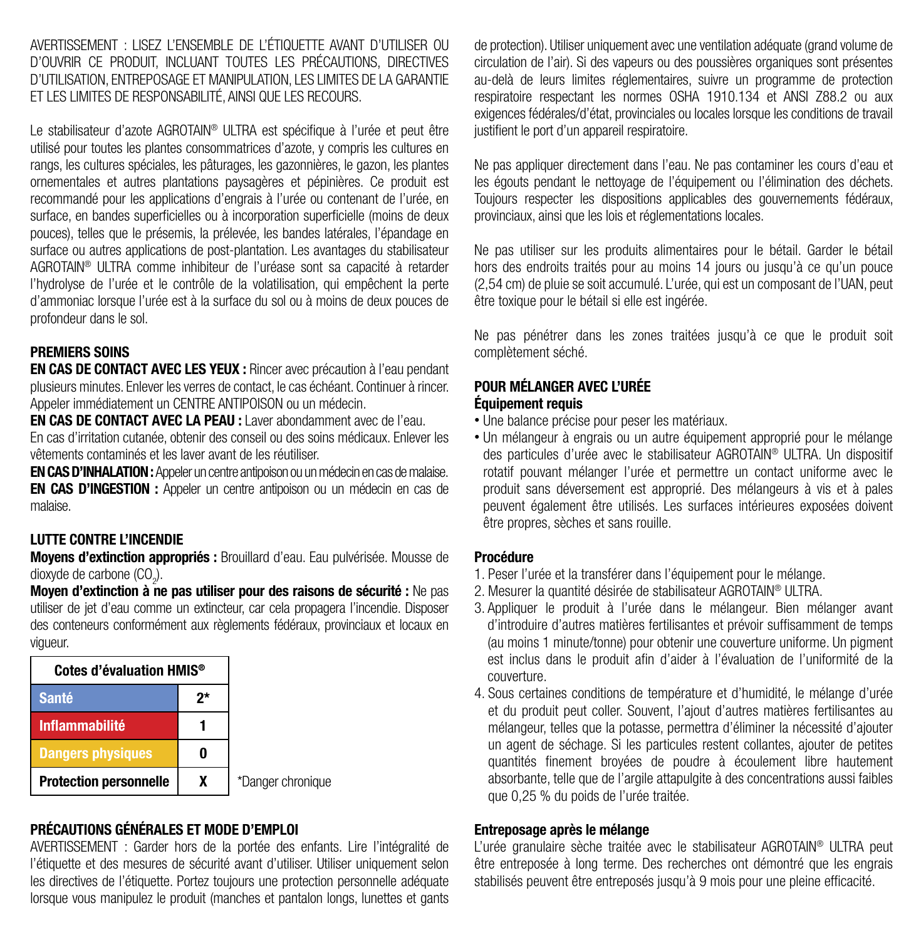AVERTISSEMENT : LISEZ L'ENSEMBLE DE L'ÉTIQUETTE AVANT D'UTILISER OU D'OUVRIR CE PRODUIT, INCLUANT TOUTES LES PRÉCAUTIONS, DIRECTIVES D'UTILISATION, ENTREPOSAGE ET MANIPULATION, LES LIMITES DE LA GARANTIE ET LES LIMITES DE RESPONSABILITÉ, AINSI QUE LES RECOURS.

Le stabilisateur d'azote AGROTAIN<sup>®</sup> ULTRA est spécifique à l'urée et peut être utilisé pour toutes les plantes consommatrices d'azote, y compris les cultures en rangs, les cultures spéciales, les pâturages, les gazonnières, le gazon, les plantes ornementales et autres plantations paysagères et pépinières. Ce produit est recommandé pour les applications d'engrais à l'urée ou contenant de l'urée, en surface, en bandes superficielles ou à incorporation superficielle (moins de deux pouces), telles que le présemis, la prélevée, les bandes latérales, l'épandage en surface ou autres applications de post-plantation. Les avantages du stabilisateur AGROTAIN® ULTRA comme inhibiteur de l'uréase sont sa capacité à retarder l'hydrolyse de l'urée et le contrôle de la volatilisation, qui empêchent la perte d'ammoniac lorsque l'urée est à la surface du sol ou à moins de deux pouces de profondeur dans le sol.

# PREMIERS SOINS

EN CAS DE CONTACT AVEC LES YEUX : Rincer avec précaution à l'eau pendant plusieurs minutes. Enlever les verres de contact, le cas échéant. Continuer à rincer. Appeler immédiatement un CENTRE ANTIPOISON ou un médecin.

EN CAS DE CONTACT AVEC LA PEAU : Laver abondamment avec de l'eau. En cas d'irritation cutanée, obtenir des conseil ou des soins médicaux. Enlever les vêtements contaminés et les laver avant de les réutiliser.

EN CAS D'INHALATION : Appeler un centre antipoison ou un médecin en cas de malaise. EN CAS D'INGESTION : Appeler un centre antipoison ou un médecin en cas de malaise.

#### LUTTE CONTRE L'INCENDIE

Moyens d'extinction appropriés : Brouillard d'eau. Eau pulvérisée. Mousse de dioxyde de carbone (CO<sub>2</sub>).

Moyen d'extinction à ne pas utiliser pour des raisons de sécurité : Ne pas utiliser de jet d'eau comme un extincteur, car cela propagera l'incendie. Disposer des conteneurs conformément aux règlements fédéraux, provinciaux et locaux en vigueur.

| Cotes d'évaluation HMIS <sup>®</sup> |    |
|--------------------------------------|----|
| <b>Santé</b>                         | 2* |
| <b>Inflammabilité</b>                |    |
| <b>Dangers physiques</b>             |    |
| <b>Protection personnelle</b>        | x  |

# PRÉCAUTIONS GÉNÉRALES ET MODE D'EMPLOI

AVERTISSEMENT : Garder hors de la portée des enfants. Lire l'intégralité de l'étiquette et des mesures de sécurité avant d'utiliser. Utiliser uniquement selon les directives de l'étiquette. Portez toujours une protection personnelle adéquate lorsque vous manipulez le produit (manches et pantalon longs, lunettes et gants

de protection). Utiliser uniquement avec une ventilation adéquate (grand volume de circulation de l'air). Si des vapeurs ou des poussières organiques sont présentes au-delà de leurs limites réglementaires, suivre un programme de protection respiratoire respectant les normes OSHA 1910.134 et ANSI Z88.2 ou aux exigences fédérales/d'état, provinciales ou locales lorsque les conditions de travail justifient le port d'un appareil respiratoire.

Ne pas appliquer directement dans l'eau. Ne pas contaminer les cours d'eau et les égouts pendant le nettoyage de l'équipement ou l'élimination des déchets. Toujours respecter les dispositions applicables des gouvernements fédéraux, provinciaux, ainsi que les lois et réglementations locales.

Ne pas utiliser sur les produits alimentaires pour le bétail. Garder le bétail hors des endroits traités pour au moins 14 jours ou jusqu'à ce qu'un pouce (2,54 cm) de pluie se soit accumulé. L'urée, qui est un composant de l'UAN, peut être toxique pour le bétail si elle est ingérée.

Ne pas pénétrer dans les zones traitées jusqu'à ce que le produit soit complètement séché.

# POUR MÉLANGER AVEC L'URÉE

# Équipement requis

- Une balance précise pour peser les matériaux.
- Un mélangeur à engrais ou un autre équipement approprié pour le mélange des particules d'urée avec le stabilisateur AGROTAIN® ULTRA. Un dispositif rotatif pouvant mélanger l'urée et permettre un contact uniforme avec le produit sans déversement est approprié. Des mélangeurs à vis et à pales peuvent également être utilisés. Les surfaces intérieures exposées doivent être propres, sèches et sans rouille.

#### Procédure

- 1. Peser l'urée et la transférer dans l'équipement pour le mélange.
- 2. Mesurer la quantité désirée de stabilisateur AGROTAIN® ULTRA.
- 3. Appliquer le produit à l'urée dans le mélangeur. Bien mélanger avant d'introduire d'autres matières fertilisantes et prévoir suffisamment de temps (au moins 1 minute/tonne) pour obtenir une couverture uniforme. Un pigment est inclus dans le produit afin d'aider à l'évaluation de l'uniformité de la couverture.
- 4. Sous certaines conditions de température et d'humidité, le mélange d'urée et du produit peut coller. Souvent, l'ajout d'autres matières fertilisantes au mélangeur, telles que la potasse, permettra d'éliminer la nécessité d'ajouter un agent de séchage. Si les particules restent collantes, ajouter de petites quantités finement broyées de poudre à écoulement libre hautement absorbante, telle que de l'argile attapulgite à des concentrations aussi faibles que 0,25 % du poids de l'urée traitée.

#### Entreposage après le mélange

L'urée granulaire sèche traitée avec le stabilisateur AGROTAIN® ULTRA peut être entreposée à long terme. Des recherches ont démontré que les engrais stabilisés peuvent être entreposés jusqu'à 9 mois pour une pleine efficacité.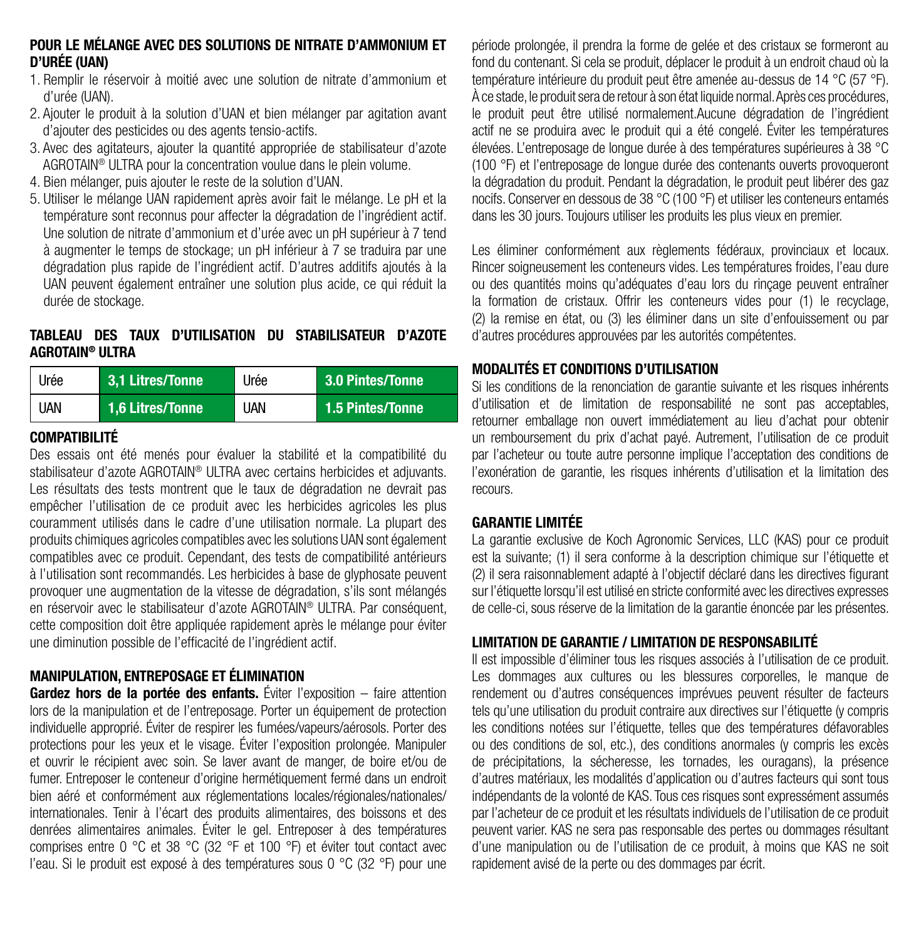#### POUR LE MÉLANGE AVEC DES SOLUTIONS DE NITRATE D'AMMONIUM ET D'URÉE (UAN)

- 1. Remplir le réservoir à moitié avec une solution de nitrate d'ammonium et d'urée (UAN).
- 2. Ajouter le produit à la solution d'UAN et bien mélanger par agitation avant d'ajouter des pesticides ou des agents tensio-actifs.
- 3. Avec des agitateurs, ajouter la quantité appropriée de stabilisateur d'azote AGROTAIN® ULTRA pour la concentration voulue dans le plein volume.
- 4. Bien mélanger, puis ajouter le reste de la solution d'UAN.
- 5. Utiliser le mélange UAN rapidement après avoir fait le mélange. Le pH et la température sont reconnus pour affecter la dégradation de l'ingrédient actif. Une solution de nitrate d'ammonium et d'urée avec un pH supérieur à 7 tend à augmenter le temps de stockage; un pH inférieur à 7 se traduira par une dégradation plus rapide de l'ingrédient actif. D'autres additifs ajoutés à la UAN peuvent également entraîner une solution plus acide, ce qui réduit la durée de stockage.

# TABLEAU DES TAUX D'UTILISATION DU STABILISATEUR D'AZOTE AGROTAIN® ULTRA

| Urée       | 3.1 Litres/Tonne                | Urée | 3.0 Pintes/Tonne |
|------------|---------------------------------|------|------------------|
| <b>UAN</b> | l 1.6 Litres/Tonne <sup>1</sup> | UAN  | 1.5 Pintes/Tonne |

#### COMPATIBILITÉ

Des essais ont été menés pour évaluer la stabilité et la compatibilité du stabilisateur d'azote AGROTAIN® ULTRA avec certains herbicides et adjuvants. Les résultats des tests montrent que le taux de dégradation ne devrait pas empêcher l'utilisation de ce produit avec les herbicides agricoles les plus couramment utilisés dans le cadre d'une utilisation normale. La plupart des produits chimiques agricoles compatibles avec les solutions UAN sont également compatibles avec ce produit. Cependant, des tests de compatibilité antérieurs à l'utilisation sont recommandés. Les herbicides à base de glyphosate peuvent provoquer une augmentation de la vitesse de dégradation, s'ils sont mélangés en réservoir avec le stabilisateur d'azote AGROTAIN® ULTRA. Par conséquent, cette composition doit être appliquée rapidement après le mélange pour éviter une diminution possible de l'efficacité de l'ingrédient actif.

# MANIPULATION, ENTREPOSAGE ET ÉLIMINATION

Gardez hors de la portée des enfants. Éviter l'exposition – faire attention lors de la manipulation et de l'entreposage. Porter un équipement de protection individuelle approprié. Éviter de respirer les fumées/vapeurs/aérosols. Porter des protections pour les yeux et le visage. Éviter l'exposition prolongée. Manipuler et ouvrir le récipient avec soin. Se laver avant de manger, de boire et/ou de fumer. Entreposer le conteneur d'origine hermétiquement fermé dans un endroit bien aéré et conformément aux réglementations locales/régionales/nationales/ internationales. Tenir à l'écart des produits alimentaires, des boissons et des denrées alimentaires animales. Éviter le gel. Entreposer à des températures comprises entre 0 °C et 38 °C (32 °F et 100 °F) et éviter tout contact avec l'eau. Si le produit est exposé à des températures sous 0 °C (32 °F) pour une période prolongée, il prendra la forme de gelée et des cristaux se formeront au fond du contenant. Si cela se produit, déplacer le produit à un endroit chaud où la température intérieure du produit peut être amenée au-dessus de 14 °C (57 °F). À ce stade, le produit sera de retour à son état liquide normal. Après ces procédures, le produit peut être utilisé normalement.Aucune dégradation de l'ingrédient actif ne se produira avec le produit qui a été congelé. Éviter les températures élevées. L'entreposage de longue durée à des températures supérieures à 38 °C (100 °F) et l'entreposage de longue durée des contenants ouverts provoqueront la dégradation du produit. Pendant la dégradation, le produit peut libérer des gaz nocifs. Conserver en dessous de 38 °C (100 °F) et utiliser les conteneurs entamés dans les 30 jours. Toujours utiliser les produits les plus vieux en premier.

Les éliminer conformément aux règlements fédéraux, provinciaux et locaux. Rincer soigneusement les conteneurs vides. Les températures froides, l'eau dure ou des quantités moins qu'adéquates d'eau lors du rinçage peuvent entraîner la formation de cristaux. Offrir les conteneurs vides pour (1) le recyclage, (2) la remise en état, ou (3) les éliminer dans un site d'enfouissement ou par d'autres procédures approuvées par les autorités compétentes.

#### MODALITÉS ET CONDITIONS D'UTILISATION

Si les conditions de la renonciation de garantie suivante et les risques inhérents d'utilisation et de limitation de responsabilité ne sont pas acceptables, retourner emballage non ouvert immédiatement au lieu d'achat pour obtenir un remboursement du prix d'achat payé. Autrement, l'utilisation de ce produit par l'acheteur ou toute autre personne implique l'acceptation des conditions de l'exonération de garantie, les risques inhérents d'utilisation et la limitation des recours.

# GARANTIE LIMITÉE

La garantie exclusive de Koch Agronomic Services, LLC (KAS) pour ce produit est la suivante; (1) il sera conforme à la description chimique sur l'étiquette et (2) il sera raisonnablement adapté à l'objectif déclaré dans les directives figurant sur l'étiquette lorsqu'il est utilisé en stricte conformité avec les directives expresses de celle-ci, sous réserve de la limitation de la garantie énoncée par les présentes.

# LIMITATION DE GARANTIE / LIMITATION DE RESPONSABILITÉ

Il est impossible d'éliminer tous les risques associés à l'utilisation de ce produit. Les dommages aux cultures ou les blessures corporelles, le manque de rendement ou d'autres conséquences imprévues peuvent résulter de facteurs tels qu'une utilisation du produit contraire aux directives sur l'étiquette (y compris les conditions notées sur l'étiquette, telles que des températures défavorables ou des conditions de sol, etc.), des conditions anormales (y compris les excès de précipitations, la sécheresse, les tornades, les ouragans), la présence d'autres matériaux, les modalités d'application ou d'autres facteurs qui sont tous indépendants de la volonté de KAS. Tous ces risques sont expressément assumés par l'acheteur de ce produit et les résultats individuels de l'utilisation de ce produit peuvent varier. KAS ne sera pas responsable des pertes ou dommages résultant d'une manipulation ou de l'utilisation de ce produit, à moins que KAS ne soit rapidement avisé de la perte ou des dommages par écrit.